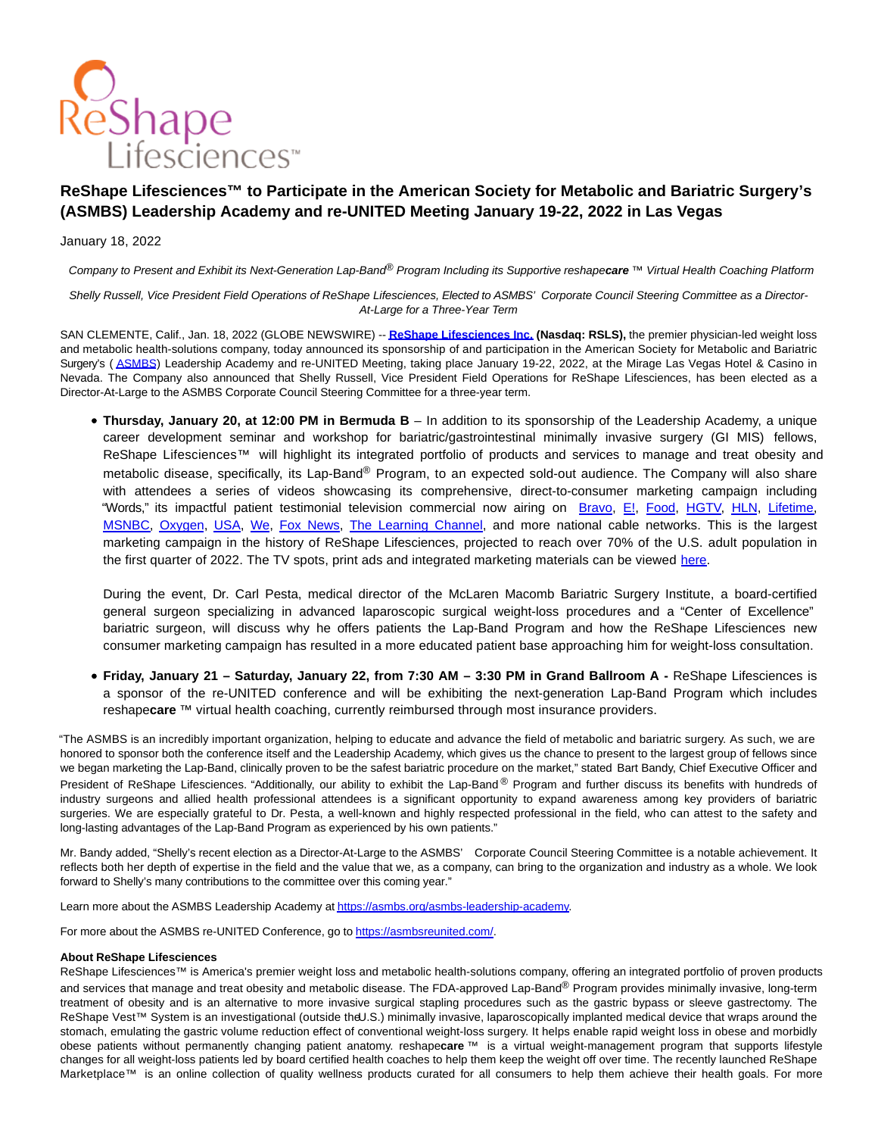

## **ReShape Lifesciences™ to Participate in the American Society for Metabolic and Bariatric Surgery's (ASMBS) Leadership Academy and re-UNITED Meeting January 19-22, 2022 in Las Vegas**

## January 18, 2022

Company to Present and Exhibit its Next-Generation Lap-Band® Program Including its Supportive reshape**care** ™ Virtual Health Coaching Platform

Shelly Russell, Vice President Field Operations of ReShape Lifesciences, Elected to ASMBS' Corporate Council Steering Committee as a Director-At-Large for a Three-Year Term

SAN CLEMENTE, Calif., Jan. 18, 2022 (GLOBE NEWSWIRE) -- **[ReShape Lifesciences Inc. \(](https://www.globenewswire.com/Tracker?data=vInAhqJxyvsLW00vSrE34Hu8PAlBj5PgCIuVle7G0Q8dN-XyAWCiezKinJuO5faudz55ye15_eKTt1FoJFQhMhkYciYkm_pVIxIxyqO76h-8o6LIJE7dsX_NsSgynwbI)Nasdaq: RSLS),** the premier physician-led weight loss and metabolic health-solutions company, today announced its sponsorship of and participation in the American Society for Metabolic and Bariatric Surgery's ([ASMBS\)](https://www.globenewswire.com/Tracker?data=9lkI4jjMbDnQQ948fAX6XGIuul5cxS3f8OS8JykWbE_GD0adffwlEqf2BAiyN_at) Leadership Academy and re-UNITED Meeting, taking place January 19-22, 2022, at the Mirage Las Vegas Hotel & Casino in Nevada. The Company also announced that Shelly Russell, Vice President Field Operations for ReShape Lifesciences, has been elected as a Director-At-Large to the ASMBS Corporate Council Steering Committee for a three-year term.

**Thursday, January 20, at 12:00 PM in Bermuda B** – In addition to its sponsorship of the Leadership Academy, a unique career development seminar and workshop for bariatric/gastrointestinal minimally invasive surgery (GI MIS) fellows, ReShape Lifesciences™ will highlight its integrated portfolio of products and services to manage and treat obesity and metabolic disease, specifically, its Lap-Band® Program, to an expected sold-out audience. The Company will also share with attendees a series of videos showcasing its comprehensive, direct-to-consumer marketing campaign including "Words," its impactful patient testimonial television commercial now airing on [Bravo,](https://www.bravotv.com/full-episodes) [E!,](https://www.eonline.com/) [Food,](https://www.foodnetwork.com/) [HGTV,](https://www.hgtv.com/) [HLN,](https://edition.cnn.com/specials/videos/hln) [Lifetime,](https://www.mylifetime.com/) [MSNBC,](https://www.msnbc.com/) [Oxygen,](https://www.oxygen.com/) [USA,](https://www.usanetwork.com/) [We,](https://www.wetv.com/) [Fox News,](https://www.foxnews.com/) [The Learning Channel,](http://www.tlc.com/) and more national cable networks. This is the largest marketing campaign in the history of ReShape Lifesciences, projected to reach over 70% of the U.S. adult population in the first quarter of 2022. The TV spots, print ads and integrated marketing materials can be viewed [here.](https://simian.me/kHey_20211004)

During the event, Dr. Carl Pesta, medical director of the McLaren Macomb Bariatric Surgery Institute, a board-certified general surgeon specializing in advanced laparoscopic surgical weight-loss procedures and a "Center of Excellence" bariatric surgeon, will discuss why he offers patients the Lap-Band Program and how the ReShape Lifesciences new consumer marketing campaign has resulted in a more educated patient base approaching him for weight-loss consultation.

**Friday, January 21 – Saturday, January 22, from 7:30 AM – 3:30 PM in Grand Ballroom A -** ReShape Lifesciences is a sponsor of the re-UNITED conference and will be exhibiting the next-generation Lap-Band Program which includes reshape**care** ™ virtual health coaching, currently reimbursed through most insurance providers.

"The ASMBS is an incredibly important organization, helping to educate and advance the field of metabolic and bariatric surgery. As such, we are honored to sponsor both the conference itself and the Leadership Academy, which gives us the chance to present to the largest group of fellows since we began marketing the Lap-Band, clinically proven to be the safest bariatric procedure on the market," stated Bart Bandy, Chief Executive Officer and President of ReShape Lifesciences. "Additionally, our ability to exhibit the Lap-Band ® Program and further discuss its benefits with hundreds of industry surgeons and allied health professional attendees is a significant opportunity to expand awareness among key providers of bariatric surgeries. We are especially grateful to Dr. Pesta, a well-known and highly respected professional in the field, who can attest to the safety and long-lasting advantages of the Lap-Band Program as experienced by his own patients."

Mr. Bandy added, "Shelly's recent election as a Director-At-Large to the ASMBS' Corporate Council Steering Committee is a notable achievement. It reflects both her depth of expertise in the field and the value that we, as a company, can bring to the organization and industry as a whole. We look forward to Shelly's many contributions to the committee over this coming year."

Learn more about the ASMBS Leadership Academy a[t https://asmbs.org/asmbs-leadership-academy.](https://www.globenewswire.com/Tracker?data=agORWzip_Y9DY92Eh9JqtWOubvsDa3AFpeWg4FcyRYq6D8HgMhFyn8weQCV_Fm7HoCcp8d3LsYBLShHF3jnXVlbRcCNKnL5y4amaLgF-wf2OdfzILFlNdHBptkkEsZ5X_EZx0nSq6a1H7p5nBBHOPg==)

For more about the ASMBS re-UNITED Conference, go t[o https://asmbsreunited.com/.](https://www.globenewswire.com/Tracker?data=agORWzip_Y9DY92Eh9JqtUXZharxYX_5uD_aDJN9zEDc4-ibiYAHBTKwy56IWcU08cncJwHNzLvlgeaDJZu9mpcklSqVS2u1Ac9hlCR3GW4=)

## **About ReShape Lifesciences**

ReShape Lifesciences™ is America's premier weight loss and metabolic health-solutions company, offering an integrated portfolio of proven products and services that manage and treat obesity and metabolic disease. The FDA-approved Lap-Band® Program provides minimally invasive, long-term treatment of obesity and is an alternative to more invasive surgical stapling procedures such as the gastric bypass or sleeve gastrectomy. The ReShape Vest™ System is an investigational (outside theU.S.) minimally invasive, laparoscopically implanted medical device that wraps around the stomach, emulating the gastric volume reduction effect of conventional weight-loss surgery. It helps enable rapid weight loss in obese and morbidly obese patients without permanently changing patient anatomy. reshape**care** ™ is a virtual weight-management program that supports lifestyle changes for all weight-loss patients led by board certified health coaches to help them keep the weight off over time. The recently launched ReShape Marketplace™ is an online collection of quality wellness products curated for all consumers to help them achieve their health goals. For more